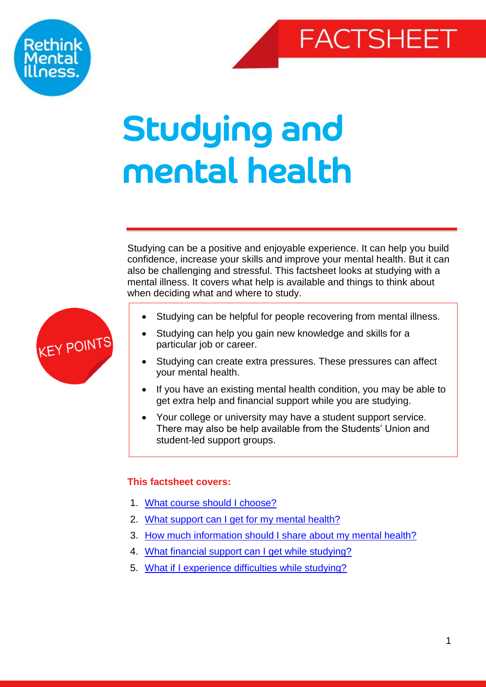



# Studying and mental health

Studying can be a positive and enjoyable experience. It can help you build confidence, increase your skills and improve your mental health. But it can also be challenging and stressful. This factsheet looks at studying with a mental illness. It covers what help is available and things to think about when deciding what and where to study.



- Studying can help you gain new knowledge and skills for a particular job or career.
- Studying can create extra pressures. These pressures can affect your mental health.
- If you have an existing mental health condition, you may be able to get extra help and financial support while you are studying.
- Your college or university may have a student support service. There may also be help available from the Students' Union and student-led support groups.

# <span id="page-0-0"></span>**This factsheet covers:**

- 1. [What course should I choose?](#page-1-0)
- 2. [What support can I get for my mental health?](#page-1-1)
- 3. [How much information should I share about my mental health?](#page-2-0)
- 4. [What financial support can I get while studying?](#page-3-0)
- 5. [What if I experience difficulties while studying?](#page-4-0)

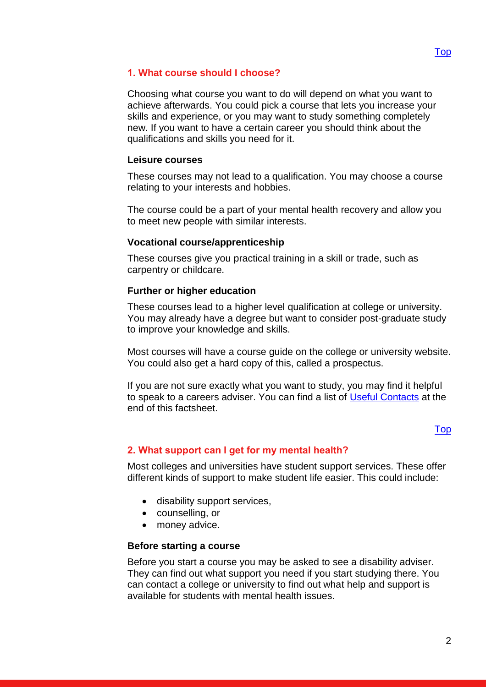# <span id="page-1-0"></span>**1. What course should I choose?**

Choosing what course you want to do will depend on what you want to achieve afterwards. You could pick a course that lets you increase your skills and experience, or you may want to study something completely new. If you want to have a certain career you should think about the qualifications and skills you need for it.

#### **Leisure courses**

These courses may not lead to a qualification. You may choose a course relating to your interests and hobbies.

The course could be a part of your mental health recovery and allow you to meet new people with similar interests.

#### **Vocational course/apprenticeship**

These courses give you practical training in a skill or trade, such as carpentry or childcare.

#### **Further or higher education**

These courses lead to a higher level qualification at college or university. You may already have a degree but want to consider post-graduate study to improve your knowledge and skills.

Most courses will have a course guide on the college or university website. You could also get a hard copy of this, called a prospectus.

If you are not sure exactly what you want to study, you may find it helpful to speak to a careers adviser. You can find a list of [Useful Contacts](#page-6-0) at the end of this factsheet.

# [Top](#page-0-0)

# <span id="page-1-1"></span>**2. What support can I get for my mental health?**

Most colleges and universities have student support services. These offer different kinds of support to make student life easier. This could include:

- disability support services,
- counselling, or
- money advice.

#### **Before starting a course**

Before you start a course you may be asked to see a disability adviser. They can find out what support you need if you start studying there. You can contact a college or university to find out what help and support is available for students with mental health issues.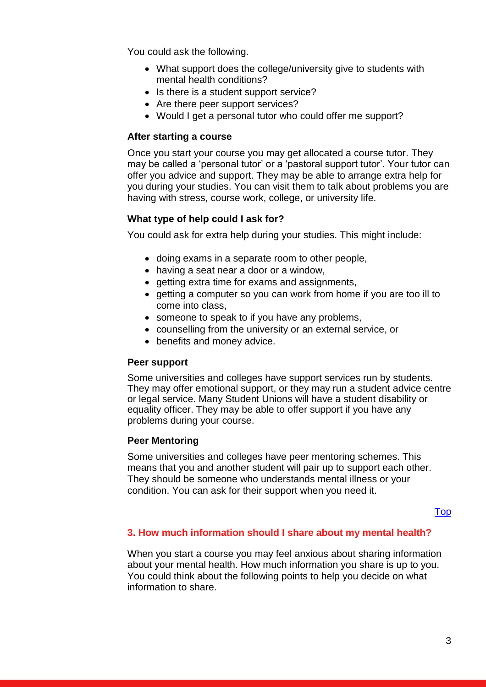You could ask the following.

- What support does the college/university give to students with mental health conditions?
- Is there is a student support service?
- Are there peer support services?
- Would I get a personal tutor who could offer me support?

#### **After starting a course**

Once you start your course you may get allocated a course tutor. They may be called a 'personal tutor' or a 'pastoral support tutor'. Your tutor can offer you advice and support. They may be able to arrange extra help for you during your studies. You can visit them to talk about problems you are having with stress, course work, college, or university life.

#### **What type of help could I ask for?**

You could ask for extra help during your studies. This might include:

- doing exams in a separate room to other people,
- having a seat near a door or a window,
- getting extra time for exams and assignments,
- getting a computer so you can work from home if you are too ill to come into class,
- someone to speak to if you have any problems,
- counselling from the university or an external service, or
- benefits and money advice.

#### **Peer support**

Some universities and colleges have support services run by students. They may offer emotional support, or they may run a student advice centre or legal service. Many Student Unions will have a student disability or equality officer. They may be able to offer support if you have any problems during your course.

#### **Peer Mentoring**

Some universities and colleges have peer mentoring schemes. This means that you and another student will pair up to support each other. They should be someone who understands mental illness or your condition. You can ask for their support when you need it.

#### [Top](#page-0-0)

# <span id="page-2-0"></span>**3. How much information should I share about my mental health?**

When you start a course you may feel anxious about sharing information about your mental health. How much information you share is up to you. You could think about the following points to help you decide on what information to share.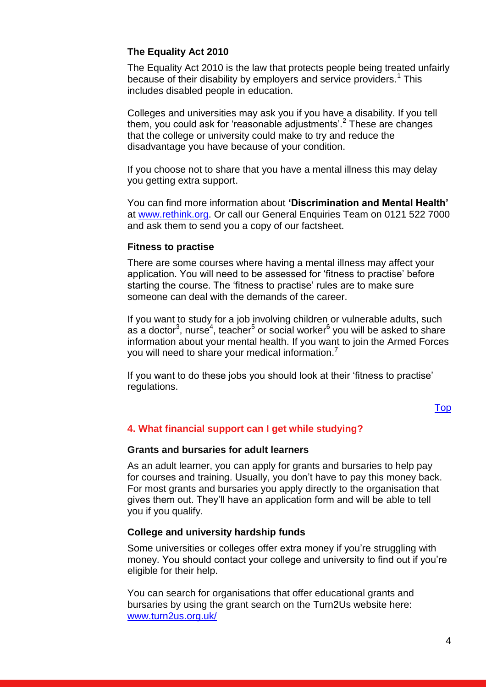# **The Equality Act 2010**

The Equality Act 2010 is the law that protects people being treated unfairly because of their disability by employers and service providers.<sup>1</sup> This includes disabled people in education.

Colleges and universities may ask you if you have a disability. If you tell them, you could ask for 'reasonable adjustments'.<sup>2</sup> These are changes that the college or university could make to try and reduce the disadvantage you have because of your condition.

If you choose not to share that you have a mental illness this may delay you getting extra support.

You can find more information about **'Discrimination and Mental Health'** at [www.rethink.org.](http://www.rethink.org/) Or call our General Enquiries Team on 0121 522 7000 and ask them to send you a copy of our factsheet.

#### **Fitness to practise**

There are some courses where having a mental illness may affect your application. You will need to be assessed for 'fitness to practise' before starting the course. The 'fitness to practise' rules are to make sure someone can deal with the demands of the career.

If you want to study for a job involving children or vulnerable adults, such as a doctor<sup>3</sup>, nurse<sup>4</sup>, teacher<sup>5</sup> or social worker<sup>6</sup> you will be asked to share information about your mental health. If you want to join the Armed Forces you will need to share your medical information.<sup>7</sup>

If you want to do these jobs you should look at their 'fitness to practise' regulations.

[Top](#page-0-0)

# <span id="page-3-0"></span>**4. [What financial support can I get while studying?](#page-3-0)**

#### **Grants and bursaries for adult learners**

As an adult learner, you can apply for grants and bursaries to help pay for courses and training. Usually, you don't have to pay this money back. For most grants and bursaries you apply directly to the organisation that gives them out. They'll have an application form and will be able to tell you if you qualify.

#### **College and university hardship funds**

Some universities or colleges offer extra money if you're struggling with money. You should contact your college and university to find out if you're eligible for their help.

You can search for organisations that offer educational grants and bursaries by using the grant search on the Turn2Us website here: [www.turn2us.org.uk/](file://Srv-fil05/YKS_NE_EM/EM/Advice%20&%20Information%20Service%20AIS4005/Shared/FACT%20SHEETS/Studying%20And%20Mental%20Illness%20Factsheet/Review/2017/www.turn2us.org.uk/)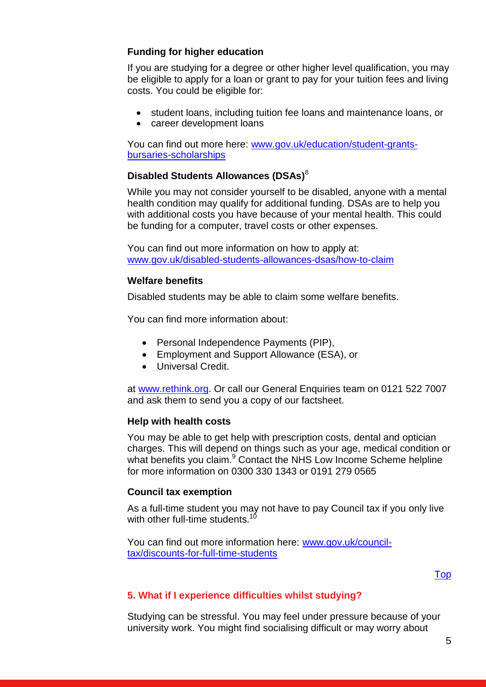# **Funding for higher education**

If you are studying for a degree or other higher level qualification, you may be eligible to apply for a loan or grant to pay for your tuition fees and living costs. You could be eligible for:

- student loans, including tuition fee loans and maintenance loans, or
- career development loans

You can find out more here: [www.gov.uk/education/student-grants](http://www.gov.uk/education/student-grants-bursaries-scholarships)[bursaries-scholarships](http://www.gov.uk/education/student-grants-bursaries-scholarships)

# **Disabled Students Allowances (DSAs)** 8

While you may not consider yourself to be disabled, anyone with a mental health condition may qualify for additional funding. DSAs are to help you with additional costs you have because of your mental health. This could be funding for a computer, travel costs or other expenses.

You can find out more information on how to apply at: [www.gov.uk/disabled-students-allowances-dsas/how-to-claim](http://www.gov.uk/disabled-students-allowances-dsas/how-to-claim)

# **Welfare benefits**

Disabled students may be able to claim some welfare benefits.

You can find more information about:

- Personal Independence Payments (PIP),
- Employment and Support Allowance (ESA), or
- **.** Universal Credit.

at [www.rethink.org.](http://www.rethink.org/) Or call our General Enquiries team on 0121 522 7007 and ask them to send you a copy of our factsheet.

# **Help with health costs**

You may be able to get help with prescription costs, dental and optician charges. This will depend on things such as your age, medical condition or what benefits you claim.<sup>9</sup> Contact the NHS Low Income Scheme helpline for more information on 0300 330 1343 or 0191 279 0565

# **Council tax exemption**

As a full-time student you may not have to pay Council tax if you only live with other full-time students.<sup>10</sup>

You can find out more information here: [www.gov.uk/council](http://www.gov.uk/council-tax/discounts-for-full-time-students)[tax/discounts-for-full-time-students](http://www.gov.uk/council-tax/discounts-for-full-time-students)

[Top](#page-0-0)

# <span id="page-4-0"></span>**5. What if I experience difficulties whilst studying?**

Studying can be stressful. You may feel under pressure because of your university work. You might find socialising difficult or may worry about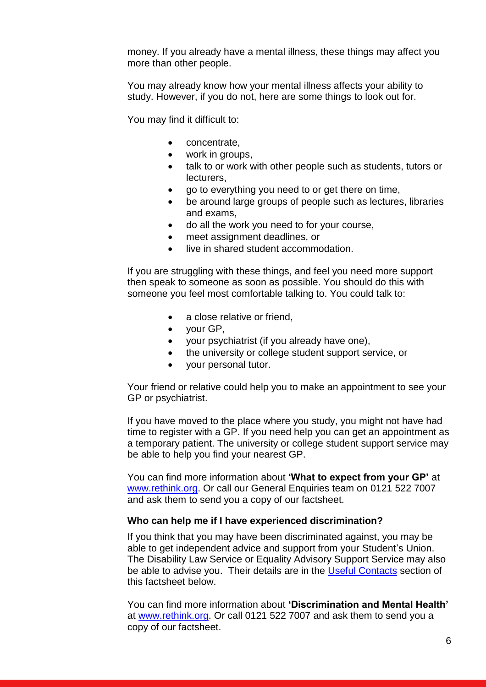money. If you already have a mental illness, these things may affect you more than other people.

You may already know how your mental illness affects your ability to study. However, if you do not, here are some things to look out for.

You may find it difficult to:

- concentrate,
- work in groups,
- talk to or work with other people such as students, tutors or lecturers,
- go to everything you need to or get there on time,
- be around large groups of people such as lectures, libraries and exams,
- do all the work you need to for your course,
- meet assignment deadlines, or
- live in shared student accommodation.

If you are struggling with these things, and feel you need more support then speak to someone as soon as possible. You should do this with someone you feel most comfortable talking to. You could talk to:

- a close relative or friend,
- your GP,
- your psychiatrist (if you already have one),
- the university or college student support service, or
- your personal tutor.

Your friend or relative could help you to make an appointment to see your GP or psychiatrist.

If you have moved to the place where you study, you might not have had time to register with a GP. If you need help you can get an appointment as a temporary patient. The university or college student support service may be able to help you find your nearest GP.

You can find more information about **'What to expect from your GP'** at [www.rethink.org.](http://www.rethink.org/) Or call our General Enquiries team on 0121 522 7007 and ask them to send you a copy of our factsheet.

#### **Who can help me if I have experienced discrimination?**

If you think that you may have been discriminated against, you may be able to get independent advice and support from your Student's Union. The Disability Law Service or Equality Advisory Support Service may also be able to advise you. Their details are in the [Useful Contacts](#page-6-0) section of this factsheet below.

You can find more information about **'Discrimination and Mental Health'**  at [www.rethink.org.](http://www.rethink.org/) Or call 0121 522 7007 and ask them to send you a copy of our factsheet.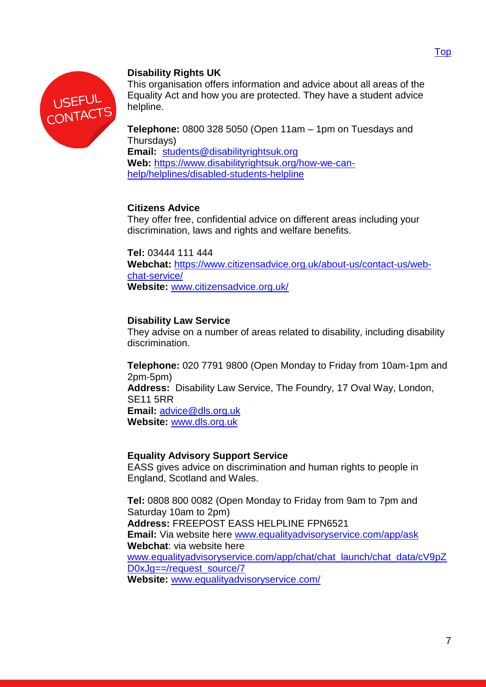



# <span id="page-6-0"></span>**Disability Rights UK**

This organisation offers information and advice about all areas of the Equality Act and how you are protected. They have a student advice helpline.

**Telephone:** 0800 328 5050 (Open 11am – 1pm on Tuesdays and Thursdays)

**Email:** [students@disabilityrightsuk.org](mailto:students@disabilityrightsuk.org) **Web:** [https://www.disabilityrightsuk.org/how-we-can](https://www.disabilityrightsuk.org/how-we-can-help/helplines/disabled-students-helpline)[help/helplines/disabled-students-helpline](https://www.disabilityrightsuk.org/how-we-can-help/helplines/disabled-students-helpline)

# **Citizens Advice**

They offer free, confidential advice on different areas including your discrimination, laws and rights and welfare benefits.

**Tel:** 03444 111 444 **Webchat:** [https://www.citizensadvice.org.uk/about-us/contact-us/web](https://www.citizensadvice.org.uk/about-us/contact-us/web-chat-service/)[chat-service/](https://www.citizensadvice.org.uk/about-us/contact-us/web-chat-service/) **Website:** [www.citizensadvice.org.uk/](http://www.citizensadvice.org.uk/)

# **Disability Law Service**

They advise on a number of areas related to disability, including disability discrimination.

**Telephone:** 020 7791 9800 (Open Monday to Friday from 10am-1pm and 2pm-5pm) **Address:** Disability Law Service, The Foundry, 17 Oval Way, London, SE11 5RR **Email:** [advice@dls.org.uk](mailto:advice@dls.org.uk) **Website:** [www.dls.org.uk](http://www.dls.org.uk/)

# **Equality Advisory Support Service**

EASS gives advice on discrimination and human rights to people in England, Scotland and Wales.

**Tel:** 0808 800 0082 (Open Monday to Friday from 9am to 7pm and Saturday 10am to 2pm) **Address:** FREEPOST EASS HELPLINE FPN6521 **Email:** Via website here [www.equalityadvisoryservice.com/app/ask](http://www.equalityadvisoryservice.com/app/ask) **Webchat**: via website here [www.equalityadvisoryservice.com/app/chat/chat\\_launch/chat\\_data/cV9pZ](http://www.equalityadvisoryservice.com/app/chat/chat_launch/chat_data/cV9pZD0xJg==/request_source/7) [D0xJg==/request\\_source/7](http://www.equalityadvisoryservice.com/app/chat/chat_launch/chat_data/cV9pZD0xJg==/request_source/7) **Website:** [www.equalityadvisoryservice.com/](http://www.equalityadvisoryservice.com/)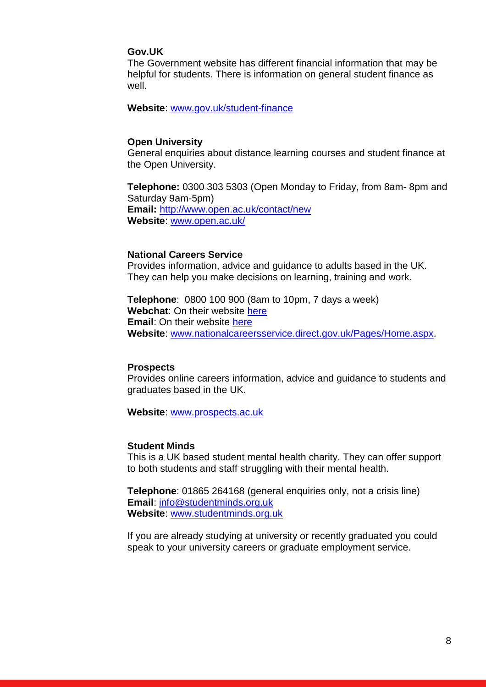#### **Gov.UK**

The Government website has different financial information that may be helpful for students. There is information on general student finance as well.

**Website**: [www.gov.uk/student-finance](http://www.gov.uk/student-finance)

#### **Open University**

General enquiries about distance learning courses and student finance at the Open University.

**Telephone:** 0300 303 5303 (Open Monday to Friday, from 8am- 8pm and Saturday 9am-5pm) **Email:** <http://www.open.ac.uk/contact/new> **Website**: [www.open.ac.uk/](http://www.open.ac.uk/)

#### **National Careers Service**

Provides information, advice and guidance to adults based in the UK. They can help you make decisions on learning, training and work.

**Telephone**: 0800 100 900 (8am to 10pm, 7 days a week) **Webchat**: On their website [here](https://cxdirect.serco.com/visitor/EntryPage.htm) **Email**: On their website [here](https://nationalcareersservice.direct.gov.uk/contact-us/contact-an-adviser) **Website**: [www.nationalcareersservice.direct.gov.uk/Pages/Home.aspx.](http://www.nationalcareersservice.direct.gov.uk/Pages/Home.aspx)

#### **Prospects**

Provides online careers information, advice and guidance to students and graduates based in the UK.

**Website**: [www.prospects.ac.uk](http://www.prospects.ac.uk/)

#### **Student Minds**

This is a UK based student mental health charity. They can offer support to both students and staff struggling with their mental health.

**Telephone**: 01865 264168 (general enquiries only, not a crisis line) **Email**: [info@studentminds.org.uk](mailto:info@studentminds.org.uk) **Website**: [www.studentminds.org.uk](http://www.studentminds.org.uk/)

If you are already studying at university or recently graduated you could speak to your university careers or graduate employment service.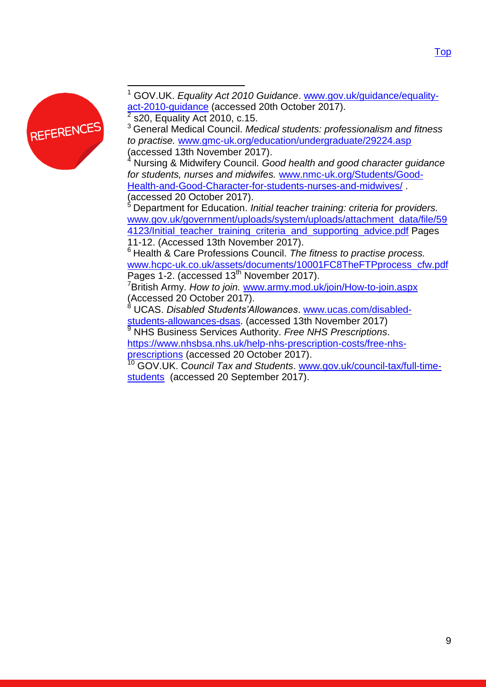

 $\overline{a}$ <sup>1</sup> GOV.UK. *Equality Act 2010 Guidance*. [www.gov.uk/guidance/equality](http://www.gov.uk/guidance/equality-act-2010-guidance)[act-2010-guidance](http://www.gov.uk/guidance/equality-act-2010-guidance) (accessed 20th October 2017). 2

s20, Equality Act 2010, c.15.

<sup>3</sup> General Medical Council. *Medical students: professionalism and fitness to practise.* [www.gmc-uk.org/education/undergraduate/29224.asp](http://www.gmc-uk.org/education/undergraduate/29224.asp)  (accessed 13th November 2017).

<sup>4</sup> Nursing & Midwifery Council. *Good health and good character guidance for students, nurses and midwifes.* [www.nmc-uk.org/Students/Good-](http://www.nmc-uk.org/Students/Good-Health-and-Good-Character-for-students-nurses-and-midwives/)[Health-and-Good-Character-for-students-nurses-and-midwives/](http://www.nmc-uk.org/Students/Good-Health-and-Good-Character-for-students-nurses-and-midwives/) . (accessed 20 October 2017).

<sup>5</sup> Department for Education. *Initial teacher training: criteria for providers.* [www.gov.uk/government/uploads/system/uploads/attachment\\_data/file/59](http://www.gov.uk/government/uploads/system/uploads/attachment_data/file/594123/Initial_teacher_training_criteria_and_supporting_advice.pdf) 4123/Initial teacher training criteria\_and\_supporting\_advice.pdf Pages 11-12. (Accessed 13th November 2017).

<sup>6</sup> Health & Care Professions Council. *The fitness to practise process.* [www.hcpc-uk.co.uk/assets/documents/10001FC8TheFTPprocess\\_cfw.pdf](http://www.hcpc-uk.co.uk/assets/documents/10001FC8TheFTPprocess_cfw.pdf) Pages 1-2. (accessed 13<sup>th</sup> November 2017).

<sup>7</sup>British Army. *How to join.* [www.army.mod.uk/join/How-to-join.aspx](http://www.army.mod.uk/join/How-to-join.aspx) (Accessed 20 October 2017).

<sup>8</sup> UCAS. *Disabled Students'Allowances*. [www.ucas.com/disabled](http://www.ucas.com/disabled-students-allowances-dsas)[students-allowances-dsas.](http://www.ucas.com/disabled-students-allowances-dsas) (accessed 13th November 2017)

<sup>9</sup> NHS Business Services Authority. *Free NHS Prescriptions*. [https://www.nhsbsa.nhs.uk/help-nhs-prescription-costs/free-nhs](https://www.nhsbsa.nhs.uk/help-nhs-prescription-costs/free-nhs-prescriptions)[prescriptions](https://www.nhsbsa.nhs.uk/help-nhs-prescription-costs/free-nhs-prescriptions) (accessed 20 October 2017).

<sup>10</sup> GOV.UK. C*ouncil Tax and Students*. [www.gov.uk/council-tax/full-time](http://www.gov.uk/council-tax/full-time-students)[students](http://www.gov.uk/council-tax/full-time-students) (accessed 20 September 2017).